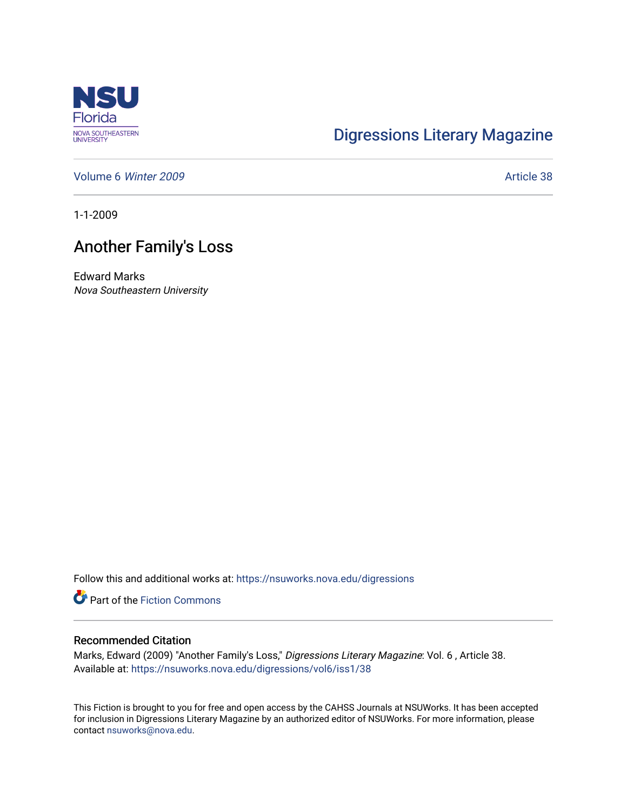

## [Digressions Literary Magazine](https://nsuworks.nova.edu/digressions)

[Volume 6](https://nsuworks.nova.edu/digressions/vol6) Winter 2009 **Article 38** 

1-1-2009

## Another Family's Loss

Edward Marks Nova Southeastern University

Follow this and additional works at: [https://nsuworks.nova.edu/digressions](https://nsuworks.nova.edu/digressions?utm_source=nsuworks.nova.edu%2Fdigressions%2Fvol6%2Fiss1%2F38&utm_medium=PDF&utm_campaign=PDFCoverPages) 

Part of the [Fiction Commons](http://network.bepress.com/hgg/discipline/1151?utm_source=nsuworks.nova.edu%2Fdigressions%2Fvol6%2Fiss1%2F38&utm_medium=PDF&utm_campaign=PDFCoverPages) 

## Recommended Citation

Marks, Edward (2009) "Another Family's Loss," Digressions Literary Magazine: Vol. 6 , Article 38. Available at: [https://nsuworks.nova.edu/digressions/vol6/iss1/38](https://nsuworks.nova.edu/digressions/vol6/iss1/38?utm_source=nsuworks.nova.edu%2Fdigressions%2Fvol6%2Fiss1%2F38&utm_medium=PDF&utm_campaign=PDFCoverPages) 

This Fiction is brought to you for free and open access by the CAHSS Journals at NSUWorks. It has been accepted for inclusion in Digressions Literary Magazine by an authorized editor of NSUWorks. For more information, please contact [nsuworks@nova.edu.](mailto:nsuworks@nova.edu)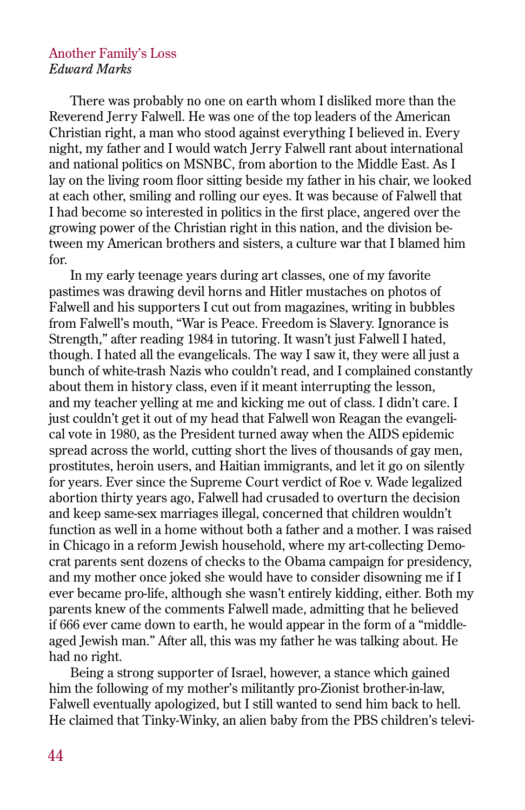## Another Family's Loss *Edward Marks*

There was probably no one on earth whom I disliked more than the Reverend Jerry Falwell. He was one of the top leaders of the American Christian right, a man who stood against everything I believed in. Every night, my father and I would watch Jerry Falwell rant about international and national politics on MSNBC, from abortion to the Middle East. As I lay on the living room floor sitting beside my father in his chair, we looked at each other, smiling and rolling our eyes. It was because of Falwell that I had become so interested in politics in the first place, angered over the growing power of the Christian right in this nation, and the division between my American brothers and sisters, a culture war that I blamed him for.

In my early teenage years during art classes, one of my favorite pastimes was drawing devil horns and Hitler mustaches on photos of Falwell and his supporters I cut out from magazines, writing in bubbles from Falwell's mouth, "War is Peace. Freedom is Slavery. Ignorance is Strength," after reading 1984 in tutoring. It wasn't just Falwell I hated, though. I hated all the evangelicals. The way I saw it, they were all just a bunch of white-trash Nazis who couldn't read, and I complained constantly about them in history class, even if it meant interrupting the lesson, and my teacher yelling at me and kicking me out of class. I didn't care. I just couldn't get it out of my head that Falwell won Reagan the evangelical vote in 1980, as the President turned away when the AIDS epidemic spread across the world, cutting short the lives of thousands of gay men, prostitutes, heroin users, and Haitian immigrants, and let it go on silently for years. Ever since the Supreme Court verdict of Roe v. Wade legalized abortion thirty years ago, Falwell had crusaded to overturn the decision and keep same-sex marriages illegal, concerned that children wouldn't function as well in a home without both a father and a mother. I was raised in Chicago in a reform Jewish household, where my art-collecting Democrat parents sent dozens of checks to the Obama campaign for presidency, and my mother once joked she would have to consider disowning me if I ever became pro-life, although she wasn't entirely kidding, either. Both my parents knew of the comments Falwell made, admitting that he believed if 666 ever came down to earth, he would appear in the form of a "middleaged Jewish man." After all, this was my father he was talking about. He had no right.

Being a strong supporter of Israel, however, a stance which gained him the following of my mother's militantly pro-Zionist brother-in-law, Falwell eventually apologized, but I still wanted to send him back to hell. He claimed that Tinky-Winky, an alien baby from the PBS children's televi-